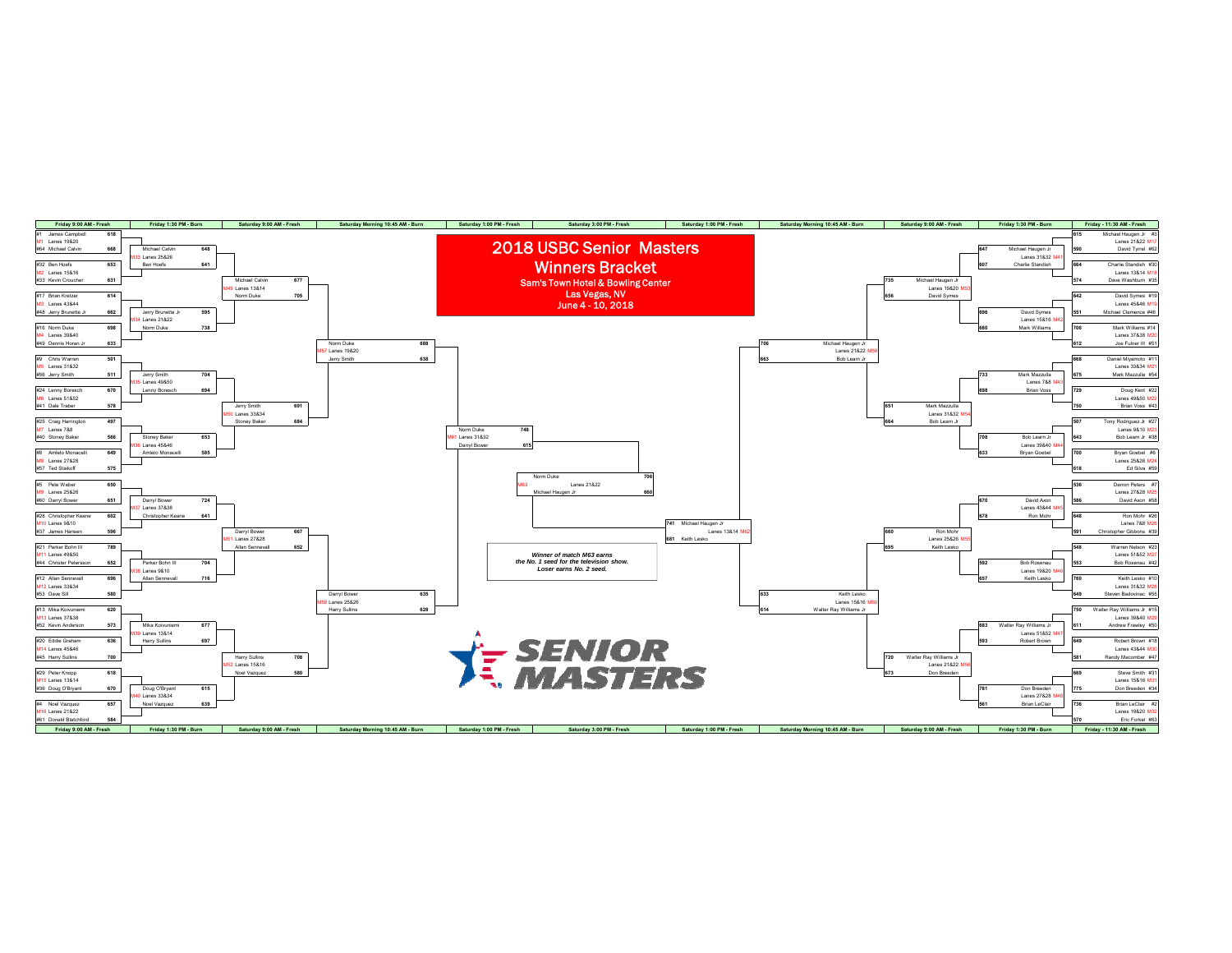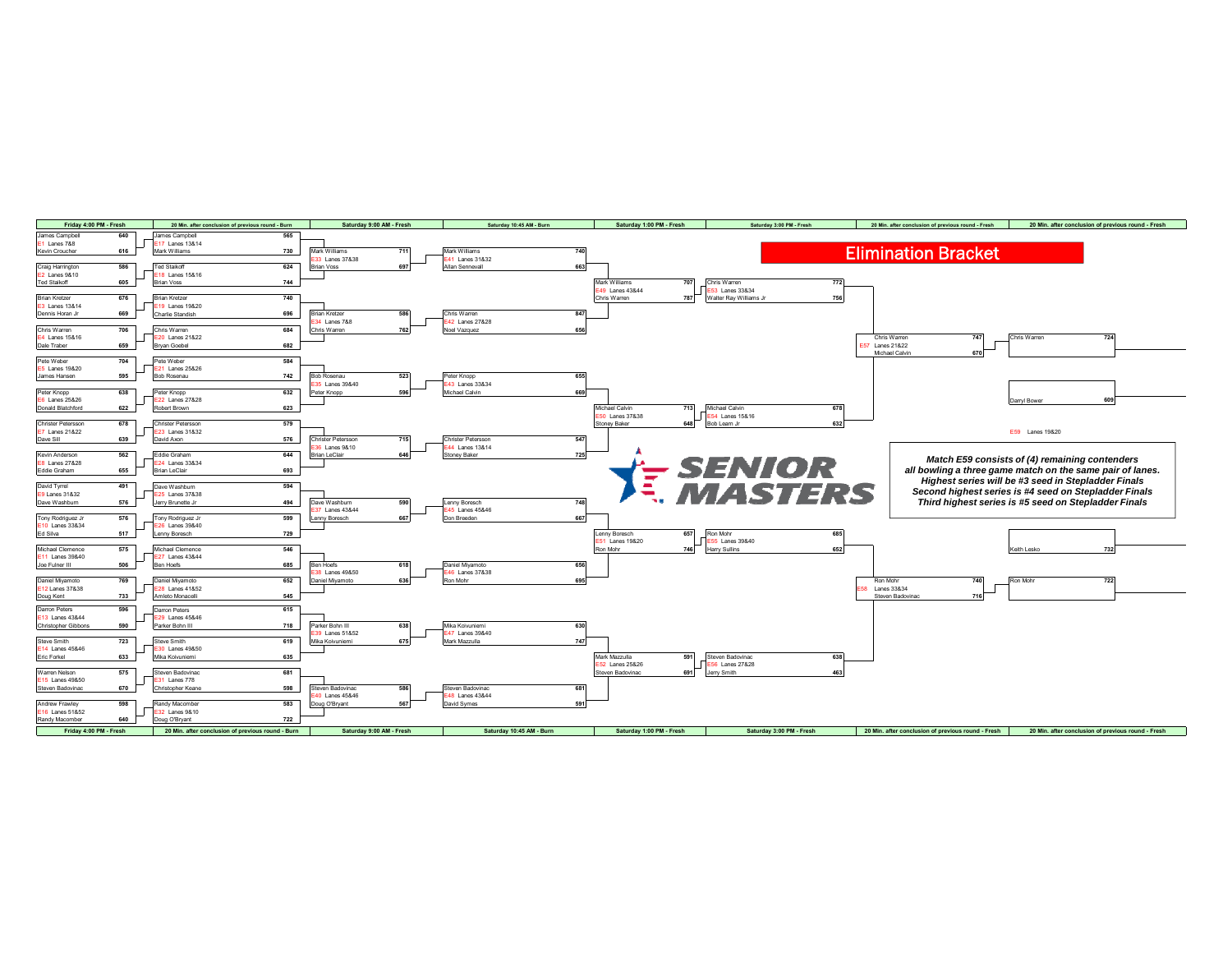